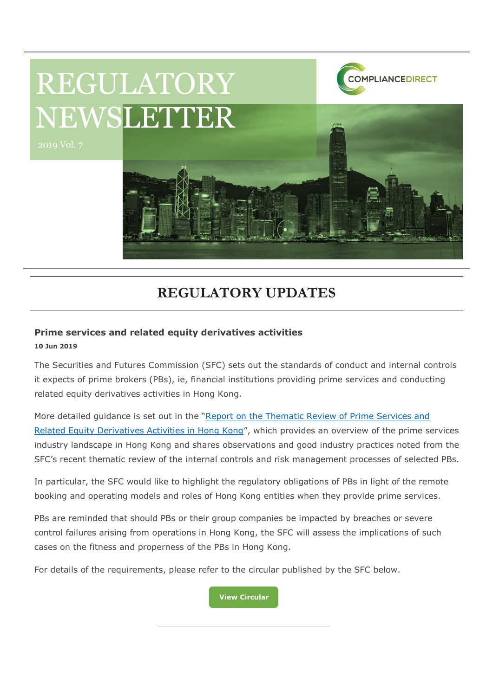

# REGULATORY NEWSLETTER

# **REGULATORY UPDATES**

#### **Prime services and related equity derivatives activities**

**10 Jun 2019**

The Securities and Futures Commission (SFC) sets out the standards of conduct and internal controls it expects of prime brokers (PBs), ie, financial institutions providing prime services and conducting related equity derivatives activities in Hong Kong.

More detailed guidance is set out in the "[Report on the Thematic Review of Prime Services and](https://www.sfc.hk/edistributionWeb/gateway/EN/circular/openAppendix?refNo=19EC41&appendix=0) [Related Equity Derivatives Activities in Hong Kong](https://www.sfc.hk/edistributionWeb/gateway/EN/circular/openAppendix?refNo=19EC41&appendix=0)", which provides an overview of the prime services industry landscape in Hong Kong and shares observations and good industry practices noted from the SFC's recent thematic review of the internal controls and risk management processes of selected PBs.

In particular, the SFC would like to highlight the regulatory obligations of PBs in light of the remote booking and operating models and roles of Hong Kong entities when they provide prime services.

PBs are reminded that should PBs or their group companies be impacted by breaches or severe control failures arising from operations in Hong Kong, the SFC will assess the implications of such cases on the fitness and properness of the PBs in Hong Kong.

For details of the requirements, please refer to the circular published by the SFC below.

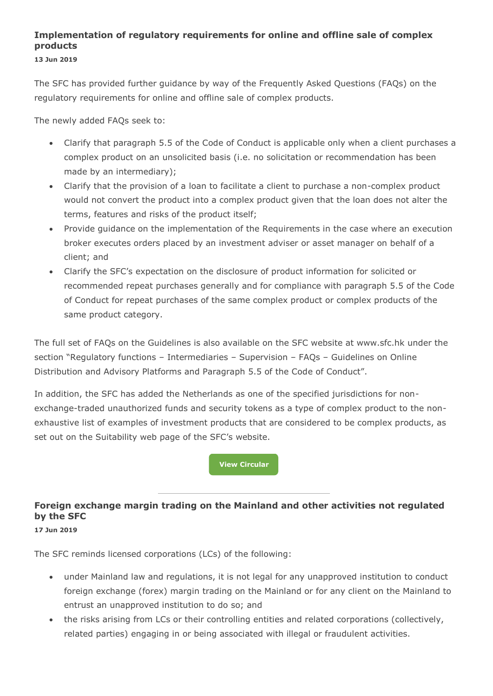## **Implementation of regulatory requirements for online and offline sale of complex products**

**13 Jun 2019**

The SFC has provided further guidance by way of the Frequently Asked Questions (FAQs) on the regulatory requirements for online and offline sale of complex products.

The newly added FAQs seek to:

- Clarify that paragraph 5.5 of the Code of Conduct is applicable only when a client purchases a complex product on an unsolicited basis (i.e. no solicitation or recommendation has been made by an intermediary);
- Clarify that the provision of a loan to facilitate a client to purchase a non-complex product would not convert the product into a complex product given that the loan does not alter the terms, features and risks of the product itself;
- Provide guidance on the implementation of the Requirements in the case where an execution broker executes orders placed by an investment adviser or asset manager on behalf of a client; and
- Clarify the SFC's expectation on the disclosure of product information for solicited or recommended repeat purchases generally and for compliance with paragraph 5.5 of the Code of Conduct for repeat purchases of the same complex product or complex products of the same product category.

The full set of FAQs on the Guidelines is also available on the SFC website at www.sfc.hk under the section "Regulatory functions – Intermediaries – Supervision – FAQs – Guidelines on Online Distribution and Advisory Platforms and Paragraph 5.5 of the Code of Conduct".

In addition, the SFC has added the Netherlands as one of the specified jurisdictions for nonexchange-traded unauthorized funds and security tokens as a type of complex product to the nonexhaustive list of examples of investment products that are considered to be complex products, as set out on the Suitability web page of the SFC's website.

**[View Circular](https://www.sfc.hk/edistributionWeb/gateway/EN/circular/suitability/doc?refNo=19EC42)**

# **Foreign exchange margin trading on the Mainland and other activities not regulated by the SFC**

**17 Jun 2019**

The SFC reminds licensed corporations (LCs) of the following:

- under Mainland law and regulations, it is not legal for any unapproved institution to conduct foreign exchange (forex) margin trading on the Mainland or for any client on the Mainland to entrust an unapproved institution to do so; and
- the risks arising from LCs or their controlling entities and related corporations (collectively, related parties) engaging in or being associated with illegal or fraudulent activities.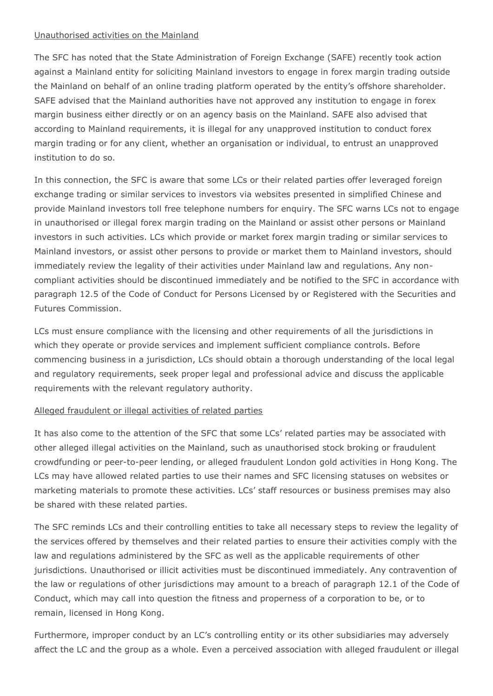#### Unauthorised activities on the Mainland

The SFC has noted that the State Administration of Foreign Exchange (SAFE) recently took action against a Mainland entity for soliciting Mainland investors to engage in forex margin trading outside the Mainland on behalf of an online trading platform operated by the entity's offshore shareholder. SAFE advised that the Mainland authorities have not approved any institution to engage in forex margin business either directly or on an agency basis on the Mainland. SAFE also advised that according to Mainland requirements, it is illegal for any unapproved institution to conduct forex margin trading or for any client, whether an organisation or individual, to entrust an unapproved institution to do so.

In this connection, the SFC is aware that some LCs or their related parties offer leveraged foreign exchange trading or similar services to investors via websites presented in simplified Chinese and provide Mainland investors toll free telephone numbers for enquiry. The SFC warns LCs not to engage in unauthorised or illegal forex margin trading on the Mainland or assist other persons or Mainland investors in such activities. LCs which provide or market forex margin trading or similar services to Mainland investors, or assist other persons to provide or market them to Mainland investors, should immediately review the legality of their activities under Mainland law and regulations. Any noncompliant activities should be discontinued immediately and be notified to the SFC in accordance with paragraph 12.5 of the Code of Conduct for Persons Licensed by or Registered with the Securities and Futures Commission.

LCs must ensure compliance with the licensing and other requirements of all the jurisdictions in which they operate or provide services and implement sufficient compliance controls. Before commencing business in a jurisdiction, LCs should obtain a thorough understanding of the local legal and regulatory requirements, seek proper legal and professional advice and discuss the applicable requirements with the relevant regulatory authority.

#### Alleged fraudulent or illegal activities of related parties

It has also come to the attention of the SFC that some LCs' related parties may be associated with other alleged illegal activities on the Mainland, such as unauthorised stock broking or fraudulent crowdfunding or peer-to-peer lending, or alleged fraudulent London gold activities in Hong Kong. The LCs may have allowed related parties to use their names and SFC licensing statuses on websites or marketing materials to promote these activities. LCs' staff resources or business premises may also be shared with these related parties.

The SFC reminds LCs and their controlling entities to take all necessary steps to review the legality of the services offered by themselves and their related parties to ensure their activities comply with the law and regulations administered by the SFC as well as the applicable requirements of other jurisdictions. Unauthorised or illicit activities must be discontinued immediately. Any contravention of the law or regulations of other jurisdictions may amount to a breach of paragraph 12.1 of the Code of Conduct, which may call into question the fitness and properness of a corporation to be, or to remain, licensed in Hong Kong.

Furthermore, improper conduct by an LC's controlling entity or its other subsidiaries may adversely affect the LC and the group as a whole. Even a perceived association with alleged fraudulent or illegal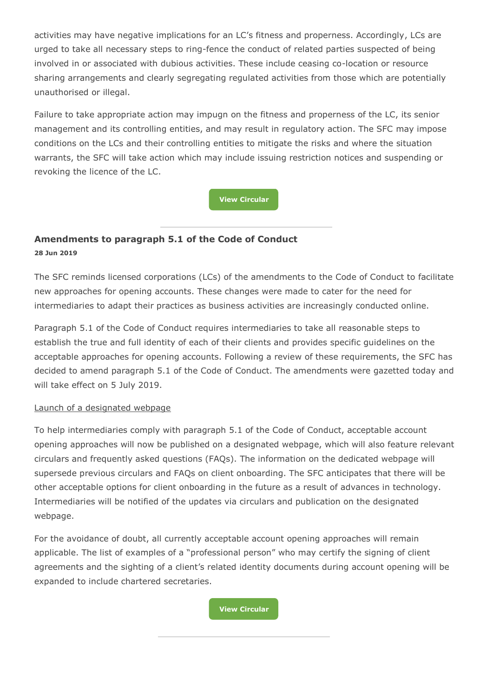activities may have negative implications for an LC's fitness and properness. Accordingly, LCs are urged to take all necessary steps to ring-fence the conduct of related parties suspected of being involved in or associated with dubious activities. These include ceasing co-location or resource sharing arrangements and clearly segregating regulated activities from those which are potentially unauthorised or illegal.

Failure to take appropriate action may impugn on the fitness and properness of the LC, its senior management and its controlling entities, and may result in regulatory action. The SFC may impose conditions on the LCs and their controlling entities to mitigate the risks and where the situation warrants, the SFC will take action which may include issuing restriction notices and suspending or revoking the licence of the LC.

**[View Circular](https://www.sfc.hk/edistributionWeb/gateway/EN/circular/intermediaries/supervision/doc?refNo=19EC43)**

## **Amendments to paragraph 5.1 of the Code of Conduct 28 Jun 2019**

The SFC reminds licensed corporations (LCs) of the amendments to the Code of Conduct to facilitate new approaches for opening accounts. These changes were made to cater for the need for intermediaries to adapt their practices as business activities are increasingly conducted online.

Paragraph 5.1 of the Code of Conduct requires intermediaries to take all reasonable steps to establish the true and full identity of each of their clients and provides specific guidelines on the acceptable approaches for opening accounts. Following a review of these requirements, the SFC has decided to amend paragraph 5.1 of the Code of Conduct. The amendments were gazetted today and will take effect on 5 July 2019.

#### Launch of a designated webpage

To help intermediaries comply with paragraph 5.1 of the Code of Conduct, acceptable account opening approaches will now be published on a designated webpage, which will also feature relevant circulars and frequently asked questions (FAQs). The information on the dedicated webpage will supersede previous circulars and FAQs on client onboarding. The SFC anticipates that there will be other acceptable options for client onboarding in the future as a result of advances in technology. Intermediaries will be notified of the updates via circulars and publication on the designated webpage.

For the avoidance of doubt, all currently acceptable account opening approaches will remain applicable. The list of examples of a "professional person" who may certify the signing of client agreements and the sighting of a client's related identity documents during account opening will be expanded to include chartered secretaries.

**[View Circular](https://www.sfc.hk/edistributionWeb/gateway/EN/circular/intermediaries/supervision/doc?refNo=19EC45)**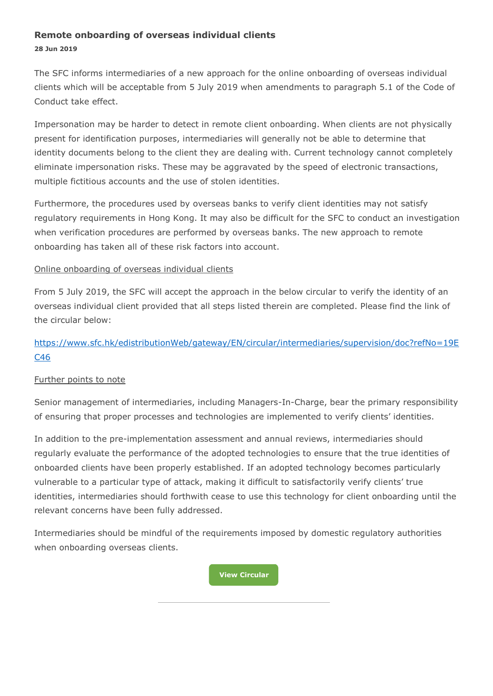#### **Remote onboarding of overseas individual clients**

#### **28 Jun 2019**

The SFC informs intermediaries of a new approach for the online onboarding of overseas individual clients which will be acceptable from 5 July 2019 when amendments to paragraph 5.1 of the Code of Conduct take effect.

Impersonation may be harder to detect in remote client onboarding. When clients are not physically present for identification purposes, intermediaries will generally not be able to determine that identity documents belong to the client they are dealing with. Current technology cannot completely eliminate impersonation risks. These may be aggravated by the speed of electronic transactions, multiple fictitious accounts and the use of stolen identities.

Furthermore, the procedures used by overseas banks to verify client identities may not satisfy regulatory requirements in Hong Kong. It may also be difficult for the SFC to conduct an investigation when verification procedures are performed by overseas banks. The new approach to remote onboarding has taken all of these risk factors into account.

#### Online onboarding of overseas individual clients

From 5 July 2019, the SFC will accept the approach in the below circular to verify the identity of an overseas individual client provided that all steps listed therein are completed. Please find the link of the circular below:

### [https://www.sfc.hk/edistributionWeb/gateway/EN/circular/intermediaries/supervision/doc?refNo=19E](https://www.sfc.hk/edistributionWeb/gateway/EN/circular/intermediaries/supervision/doc?refNo=19EC46) [C46](https://www.sfc.hk/edistributionWeb/gateway/EN/circular/intermediaries/supervision/doc?refNo=19EC46)

#### Further points to note

Senior management of intermediaries, including Managers-In-Charge, bear the primary responsibility of ensuring that proper processes and technologies are implemented to verify clients' identities.

In addition to the pre-implementation assessment and annual reviews, intermediaries should regularly evaluate the performance of the adopted technologies to ensure that the true identities of onboarded clients have been properly established. If an adopted technology becomes particularly vulnerable to a particular type of attack, making it difficult to satisfactorily verify clients' true identities, intermediaries should forthwith cease to use this technology for client onboarding until the relevant concerns have been fully addressed.

Intermediaries should be mindful of the requirements imposed by domestic regulatory authorities when onboarding overseas clients.

**[View Circular](https://www.sfc.hk/edistributionWeb/gateway/EN/circular/intermediaries/supervision/doc?refNo=19EC45)**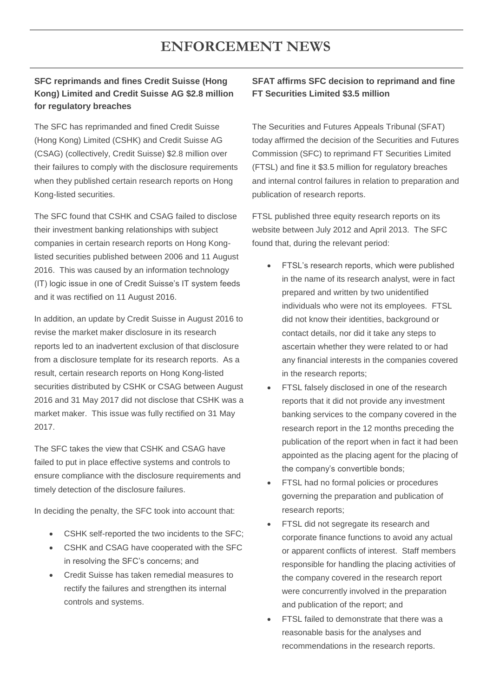# **ENFORCEMENT NEWS**

#### **SFC reprimands and fines Credit Suisse (Hong Kong) Limited and Credit Suisse AG \$2.8 million for regulatory breaches**

The SFC has reprimanded and fined Credit Suisse (Hong Kong) Limited (CSHK) and Credit Suisse AG (CSAG) (collectively, Credit Suisse) \$2.8 million over their failures to comply with the disclosure requirements when they published certain research reports on Hong Kong-listed securities.

The SFC found that CSHK and CSAG failed to disclose their investment banking relationships with subject companies in certain research reports on Hong Konglisted securities published between 2006 and 11 August 2016. This was caused by an information technology (IT) logic issue in one of Credit Suisse's IT system feeds and it was rectified on 11 August 2016.

In addition, an update by Credit Suisse in August 2016 to revise the market maker disclosure in its research reports led to an inadvertent exclusion of that disclosure from a disclosure template for its research reports. As a result, certain research reports on Hong Kong-listed securities distributed by CSHK or CSAG between August 2016 and 31 May 2017 did not disclose that CSHK was a market maker. This issue was fully rectified on 31 May 2017.

The SFC takes the view that CSHK and CSAG have failed to put in place effective systems and controls to ensure compliance with the disclosure requirements and timely detection of the disclosure failures.

In deciding the penalty, the SFC took into account that:

- CSHK self-reported the two incidents to the SFC;
- CSHK and CSAG have cooperated with the SFC in resolving the SFC's concerns; and
- Credit Suisse has taken remedial measures to rectify the failures and strengthen its internal controls and systems.

**SFAT affirms SFC decision to reprimand and fine FT Securities Limited \$3.5 million**

The Securities and Futures Appeals Tribunal (SFAT) today affirmed the decision of the Securities and Futures Commission (SFC) to reprimand FT Securities Limited (FTSL) and fine it \$3.5 million for regulatory breaches and internal control failures in relation to preparation and publication of research reports.

FTSL published three equity research reports on its website between July 2012 and April 2013. The SFC found that, during the relevant period:

- FTSL's research reports, which were published in the name of its research analyst, were in fact prepared and written by two unidentified individuals who were not its employees. FTSL did not know their identities, background or contact details, nor did it take any steps to ascertain whether they were related to or had any financial interests in the companies covered in the research reports;
- FTSL falsely disclosed in one of the research reports that it did not provide any investment banking services to the company covered in the research report in the 12 months preceding the publication of the report when in fact it had been appointed as the placing agent for the placing of the company's convertible bonds;
- FTSL had no formal policies or procedures governing the preparation and publication of research reports;
- FTSL did not segregate its research and corporate finance functions to avoid any actual or apparent conflicts of interest. Staff members responsible for handling the placing activities of the company covered in the research report were concurrently involved in the preparation and publication of the report; and
- FTSL failed to demonstrate that there was a reasonable basis for the analyses and recommendations in the research reports.